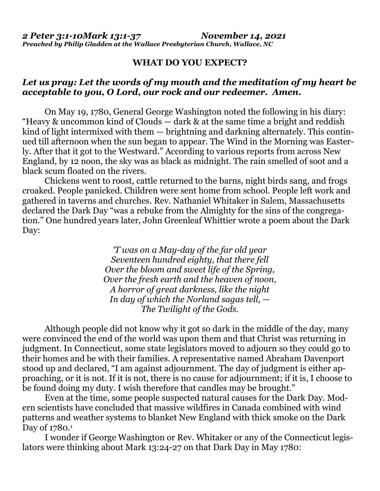## **WHAT DO YOU EXPECT?**

## *Let us pray: Let the words of my mouth and the meditation of my heart be acceptable to you, O Lord, our rock and our redeemer. Amen.*

On May 19, 1780, General George Washington noted the following in his diary: "Heavy & uncommon kind of Clouds — dark & at the same time a bright and reddish kind of light intermixed with them — brightning and darkning alternately. This continued till afternoon when the sun began to appear. The Wind in the Morning was Easterly. After that it got to the Westward." According to various reports from across New England, by 12 noon, the sky was as black as midnight. The rain smelled of soot and a black scum floated on the rivers.

 Chickens went to roost, cattle returned to the barns, night birds sang, and frogs croaked. People panicked. Children were sent home from school. People left work and gathered in taverns and churches. Rev. Nathaniel Whitaker in Salem, Massachusetts declared the Dark Day "was a rebuke from the Almighty for the sins of the congregation." One hundred years later, John Greenleaf Whittier wrote a poem about the Dark Day:

> *'T was on a May-day of the far old year Seventeen hundred eighty, that there fell Over the bloom and sweet life of the Spring, Over the fresh earth and the heaven of noon, A horror of great darkness, like the night In day of which the Norland sagas tell, — The Twilight of the Gods.*

 Although people did not know why it got so dark in the middle of the day, many were convinced the end of the world was upon them and that Christ was returning in judgment. In Connecticut, some state legislators moved to adjourn so they could go to their homes and be with their families. A representative named Abraham Davenport stood up and declared, "I am against adjournment. The day of judgment is either approaching, or it is not. If it is not, there is no cause for adjournment; if it is, I choose to be found doing my duty. I wish therefore that candles may be brought."

 Even at the time, some people suspected natural causes for the Dark Day. Modern scientists have concluded that massive wildfires in Canada combined with wind patterns and weather systems to blanket New England with thick smoke on the Dark Day of 1780.<sup>1</sup>

 I wonder if George Washington or Rev. Whitaker or any of the Connecticut legislators were thinking about Mark 13:24-27 on that Dark Day in May 1780: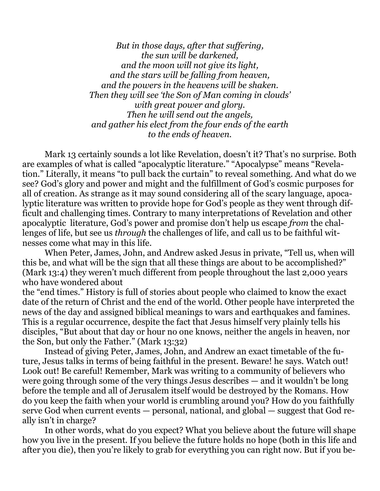*But in those days, after that suffering, the sun will be darkened, and the moon will not give its light, and the stars will be falling from heaven, and the powers in the heavens will be shaken. Then they will see 'the Son of Man coming in clouds' with great power and glory. Then he will send out the angels, and gather his elect from the four ends of the earth to the ends of heaven.* 

 Mark 13 certainly sounds a lot like Revelation, doesn't it? That's no surprise. Both are examples of what is called "apocalyptic literature." "Apocalypse" means "Revelation." Literally, it means "to pull back the curtain" to reveal something. And what do we see? God's glory and power and might and the fulfillment of God's cosmic purposes for all of creation. As strange as it may sound considering all of the scary language, apocalyptic literature was written to provide hope for God's people as they went through difficult and challenging times. Contrary to many interpretations of Revelation and other apocalyptic literature, God's power and promise don't help us escape *from* the challenges of life, but see us *through* the challenges of life, and call us to be faithful witnesses come what may in this life.

 When Peter, James, John, and Andrew asked Jesus in private, "Tell us, when will this be, and what will be the sign that all these things are about to be accomplished?" (Mark 13:4) they weren't much different from people throughout the last 2,000 years who have wondered about

the "end times." History is full of stories about people who claimed to know the exact date of the return of Christ and the end of the world. Other people have interpreted the news of the day and assigned biblical meanings to wars and earthquakes and famines. This is a regular occurrence, despite the fact that Jesus himself very plainly tells his disciples, "But about that day or hour no one knows, neither the angels in heaven, nor the Son, but only the Father." (Mark 13:32)

 Instead of giving Peter, James, John, and Andrew an exact timetable of the future, Jesus talks in terms of being faithful in the present. Beware! he says. Watch out! Look out! Be careful! Remember, Mark was writing to a community of believers who were going through some of the very things Jesus describes — and it wouldn't be long before the temple and all of Jerusalem itself would be destroyed by the Romans. How do you keep the faith when your world is crumbling around you? How do you faithfully serve God when current events — personal, national, and global — suggest that God really isn't in charge?

 In other words, what do you expect? What you believe about the future will shape how you live in the present. If you believe the future holds no hope (both in this life and after you die), then you're likely to grab for everything you can right now. But if you be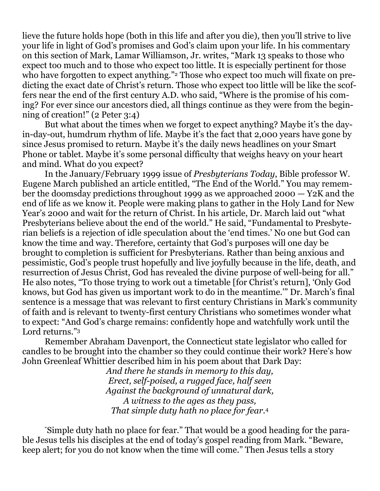lieve the future holds hope (both in this life and after you die), then you'll strive to live your life in light of God's promises and God's claim upon your life. In his commentary on this section of Mark, Lamar Williamson, Jr. writes, "Mark 13 speaks to those who expect too much and to those who expect too little. It is especially pertinent for those who have forgotten to expect anything."<sup>2</sup> Those who expect too much will fixate on predicting the exact date of Christ's return. Those who expect too little will be like the scoffers near the end of the first century A.D. who said, "Where is the promise of his coming? For ever since our ancestors died, all things continue as they were from the beginning of creation!" (2 Peter 3:4)

 But what about the times when we forget to expect anything? Maybe it's the dayin-day-out, humdrum rhythm of life. Maybe it's the fact that 2,000 years have gone by since Jesus promised to return. Maybe it's the daily news headlines on your Smart Phone or tablet. Maybe it's some personal difficulty that weighs heavy on your heart and mind. What do you expect?

 In the January/February 1999 issue of *Presbyterians Today*, Bible professor W. Eugene March published an article entitled, "The End of the World." You may remember the doomsday predictions throughout 1999 as we approached 2000 — Y2K and the end of life as we know it. People were making plans to gather in the Holy Land for New Year's 2000 and wait for the return of Christ. In his article, Dr. March laid out "what Presbyterians believe about the end of the world." He said, "Fundamental to Presbyterian beliefs is a rejection of idle speculation about the 'end times.' No one but God can know the time and way. Therefore, certainty that God's purposes will one day be brought to completion is sufficient for Presbyterians. Rather than being anxious and pessimistic, God's people trust hopefully and live joyfully because in the life, death, and resurrection of Jesus Christ, God has revealed the divine purpose of well-being for all." He also notes, "To those trying to work out a timetable [for Christ's return], 'Only God knows, but God has given us important work to do in the meantime.'" Dr. March's final sentence is a message that was relevant to first century Christians in Mark's community of faith and is relevant to twenty-first century Christians who sometimes wonder what to expect: "And God's charge remains: confidently hope and watchfully work until the Lord returns."<sup>3</sup>

 Remember Abraham Davenport, the Connecticut state legislator who called for candles to be brought into the chamber so they could continue their work? Here's how John Greenleaf Whittier described him in his poem about that Dark Day:

*And there he stands in memory to this day, Erect, self-poised, a rugged face, half seen Against the background of unnatural dark, A witness to the ages as they pass, That simple duty hath no place for fear.*<sup>4</sup>

 "Simple duty hath no place for fear." That would be a good heading for the parable Jesus tells his disciples at the end of today's gospel reading from Mark. "Beware, keep alert; for you do not know when the time will come." Then Jesus tells a story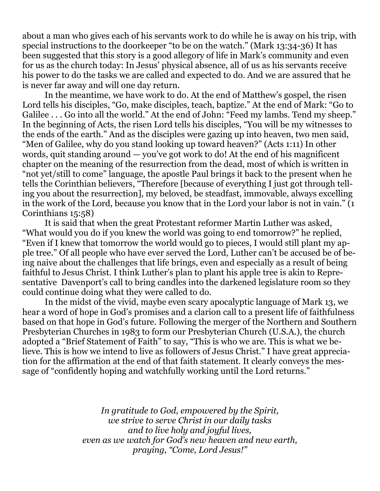about a man who gives each of his servants work to do while he is away on his trip, with special instructions to the doorkeeper "to be on the watch." (Mark 13:34-36) It has been suggested that this story is a good allegory of life in Mark's community and even for us as the church today: In Jesus' physical absence, all of us as his servants receive his power to do the tasks we are called and expected to do. And we are assured that he is never far away and will one day return.

 In the meantime, we have work to do. At the end of Matthew's gospel, the risen Lord tells his disciples, "Go, make disciples, teach, baptize." At the end of Mark: "Go to Galilee . . . Go into all the world." At the end of John: "Feed my lambs. Tend my sheep." In the beginning of Acts, the risen Lord tells his disciples, "You will be my witnesses to the ends of the earth." And as the disciples were gazing up into heaven, two men said, "Men of Galilee, why do you stand looking up toward heaven?" (Acts 1:11) In other words, quit standing around — you've got work to do! At the end of his magnificent chapter on the meaning of the resurrection from the dead, most of which is written in "not yet/still to come" language, the apostle Paul brings it back to the present when he tells the Corinthian believers, "Therefore [because of everything I just got through telling you about the resurrection], my beloved, be steadfast, immovable, always excelling in the work of the Lord, because you know that in the Lord your labor is not in vain." (1 Corinthians 15:58)

 It is said that when the great Protestant reformer Martin Luther was asked, "What would you do if you knew the world was going to end tomorrow?" he replied, "Even if I knew that tomorrow the world would go to pieces, I would still plant my apple tree." Of all people who have ever served the Lord, Luther can't be accused be of being naive about the challenges that life brings, even and especially as a result of being faithful to Jesus Christ. I think Luther's plan to plant his apple tree is akin to Representative Davenport's call to bring candles into the darkened legislature room so they could continue doing what they were called to do.

 In the midst of the vivid, maybe even scary apocalyptic language of Mark 13, we hear a word of hope in God's promises and a clarion call to a present life of faithfulness based on that hope in God's future. Following the merger of the Northern and Southern Presbyterian Churches in 1983 to form our Presbyterian Church (U.S.A.), the church adopted a "Brief Statement of Faith" to say, "This is who we are. This is what we believe. This is how we intend to live as followers of Jesus Christ." I have great appreciation for the affirmation at the end of that faith statement. It clearly conveys the message of "confidently hoping and watchfully working until the Lord returns."

> *In gratitude to God, empowered by the Spirit, we strive to serve Christ in our daily tasks and to live holy and joyful lives, even as we watch for God's new heaven and new earth, praying, "Come, Lord Jesus!"*